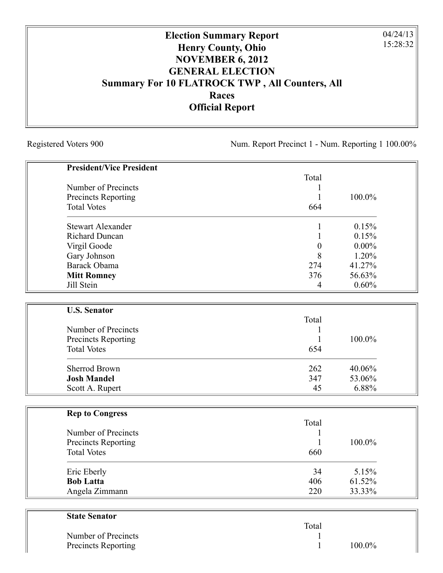## **Election Summary Report Henry County, Ohio NOVEMBER 6, 2012 GENERAL ELECTION Summary For 10 FLATROCK TWP , All Counters, All Races Official Report**

Registered Voters 900 Num. Report Precinct 1 - Num. Reporting 1 100.00%

04/24/13 15:28:32

| <b>President/Vice President</b> |                |          |
|---------------------------------|----------------|----------|
|                                 | Total          |          |
| Number of Precincts             |                |          |
| Precincts Reporting             |                | 100.0%   |
| <b>Total Votes</b>              | 664            |          |
| <b>Stewart Alexander</b>        | 1              | 0.15%    |
| <b>Richard Duncan</b>           | 1              | 0.15%    |
| Virgil Goode                    | $\overline{0}$ | $0.00\%$ |
| Gary Johnson                    | 8              | 1.20%    |
| Barack Obama                    | 274            | 41.27%   |
| <b>Mitt Romney</b>              | 376            | 56.63%   |
| Jill Stein                      | $\overline{4}$ | 0.60%    |
|                                 |                |          |
| <b>U.S. Senator</b>             |                |          |
|                                 | Total          |          |
| Number of Precincts             | 1              |          |
| <b>Precincts Reporting</b>      | 1              | 100.0%   |
| <b>Total Votes</b>              | 654            |          |
| <b>Sherrod Brown</b>            | 262            | 40.06%   |
| <b>Josh Mandel</b>              | 347            | 53.06%   |
| Scott A. Rupert                 | 45             | 6.88%    |
|                                 |                |          |
| <b>Rep to Congress</b>          |                |          |
|                                 | Total          |          |
| Number of Precincts             |                |          |
| Precincts Reporting             |                | 100.0%   |
| <b>Total Votes</b>              | 660            |          |
| Eric Eberly                     | 34             | 5.15%    |
| <b>Bob Latta</b>                | 406            | 61.52%   |
| Angela Zimmann                  | 220            | 33.33%   |

| <b>State Senator</b>       |       |        |
|----------------------------|-------|--------|
|                            | Total |        |
| Number of Precincts        |       |        |
| <b>Precincts Reporting</b> |       | 100.0% |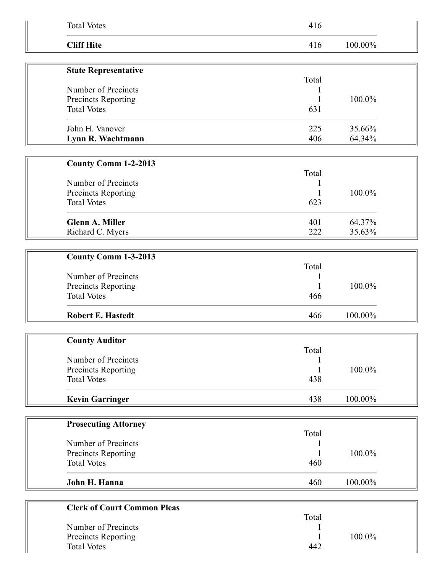| <b>Total Votes</b>                 | 416   |                  |  |
|------------------------------------|-------|------------------|--|
| <b>Cliff Hite</b>                  | 416   | 100.00%          |  |
| <b>State Representative</b>        |       |                  |  |
|                                    | Total |                  |  |
| Number of Precincts                |       |                  |  |
| Precincts Reporting                |       | 100.0%           |  |
| <b>Total Votes</b>                 | 631   |                  |  |
| John H. Vanover                    | 225   | 35.66%           |  |
| Lynn R. Wachtmann                  | 406   | 64.34%           |  |
|                                    |       |                  |  |
| <b>County Comm 1-2-2013</b>        | Total |                  |  |
| Number of Precincts                |       |                  |  |
| Precincts Reporting                |       | 100.0%           |  |
| <b>Total Votes</b>                 | 623   |                  |  |
| <b>Glenn A. Miller</b>             | 401   |                  |  |
| Richard C. Myers                   | 222   | 64.37%<br>35.63% |  |
|                                    |       |                  |  |
| County Comm 1-3-2013               |       |                  |  |
|                                    | Total |                  |  |
| Number of Precincts                |       |                  |  |
| Precincts Reporting                |       | 100.0%           |  |
| <b>Total Votes</b>                 | 466   |                  |  |
| <b>Robert E. Hastedt</b>           | 466   | 100.00%          |  |
|                                    |       |                  |  |
| <b>County Auditor</b>              | Total |                  |  |
| Number of Precincts                |       |                  |  |
| Precincts Reporting                |       | 100.0%           |  |
| <b>Total Votes</b>                 | 438   |                  |  |
| <b>Kevin Garringer</b>             | 438   | 100.00%          |  |
|                                    |       |                  |  |
| <b>Prosecuting Attorney</b>        |       |                  |  |
|                                    | Total |                  |  |
| Number of Precincts                |       |                  |  |
| Precincts Reporting                |       | 100.0%           |  |
| <b>Total Votes</b>                 | 460   |                  |  |
| John H. Hanna                      | 460   | 100.00%          |  |
|                                    |       |                  |  |
| <b>Clerk of Court Common Pleas</b> | Total |                  |  |
| Number of Precincts                |       |                  |  |
| Precincts Reporting                |       | 100.0%           |  |
| <b>Total Votes</b>                 | 442   |                  |  |
|                                    |       |                  |  |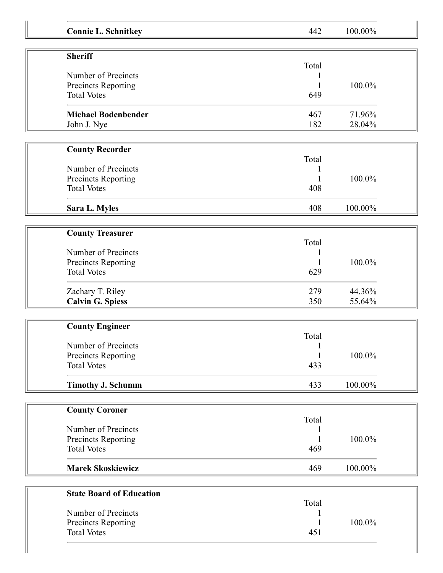|                | <b>Connie L. Schnitkey</b>                | 442   | 100.00% |
|----------------|-------------------------------------------|-------|---------|
| <b>Sheriff</b> |                                           |       |         |
|                |                                           | Total |         |
|                | Number of Precincts                       |       |         |
|                | Precincts Reporting<br><b>Total Votes</b> | 649   | 100.0%  |
|                |                                           |       |         |
|                | <b>Michael Bodenbender</b>                | 467   | 71.96%  |
|                | John J. Nye                               | 182   | 28.04%  |
|                |                                           |       |         |
|                | <b>County Recorder</b>                    | Total |         |
|                | Number of Precincts                       |       |         |
|                | Precincts Reporting                       |       | 100.0%  |
|                | <b>Total Votes</b>                        | 408   |         |
|                |                                           |       |         |
|                | Sara L. Myles                             | 408   | 100.00% |
|                | <b>County Treasurer</b>                   |       |         |
|                |                                           | Total |         |
|                | Number of Precincts                       |       |         |
|                | Precincts Reporting                       |       | 100.0%  |
|                | <b>Total Votes</b>                        | 629   |         |
|                | Zachary T. Riley                          | 279   | 44.36%  |
|                | <b>Calvin G. Spiess</b>                   | 350   | 55.64%  |
|                |                                           |       |         |
|                | <b>County Engineer</b>                    | Total |         |
|                | Number of Precincts                       |       |         |
|                | Precincts Reporting                       |       | 100.0%  |
|                | <b>Total Votes</b>                        | 433   |         |
|                |                                           |       |         |
|                | <b>Timothy J. Schumm</b>                  | 433   | 100.00% |
|                |                                           |       |         |
|                | <b>County Coroner</b>                     | Total |         |
|                | Number of Precincts                       |       |         |
|                | Precincts Reporting                       |       | 100.0%  |
|                | <b>Total Votes</b>                        | 469   |         |
|                | <b>Marek Skoskiewicz</b>                  | 469   | 100.00% |
|                |                                           |       |         |
|                | <b>State Board of Education</b>           |       |         |
|                |                                           | Total |         |
|                | Number of Precincts                       |       |         |
|                | Precincts Reporting                       |       | 100.0%  |
|                | <b>Total Votes</b>                        | 451   |         |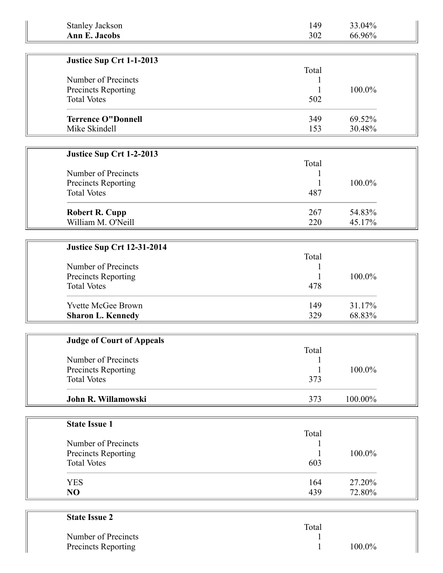| <b>Ann E. Jacobs</b>                      | 302        | 66.96%  |
|-------------------------------------------|------------|---------|
|                                           |            |         |
| Justice Sup Crt 1-1-2013                  |            |         |
| Number of Precincts                       | Total<br>1 |         |
| Precincts Reporting                       |            | 100.0%  |
| <b>Total Votes</b>                        | 502        |         |
|                                           |            |         |
| <b>Terrence O"Donnell</b>                 | 349        | 69.52%  |
| Mike Skindell                             | 153        | 30.48%  |
|                                           |            |         |
| Justice Sup Crt 1-2-2013                  | Total      |         |
| Number of Precincts                       |            |         |
| Precincts Reporting                       | 1          | 100.0%  |
| <b>Total Votes</b>                        | 487        |         |
| <b>Robert R. Cupp</b>                     | 267        | 54.83%  |
| William M. O'Neill                        | 220        | 45.17%  |
|                                           |            |         |
| <b>Justice Sup Crt 12-31-2014</b>         |            |         |
|                                           | Total      |         |
| Number of Precincts                       |            |         |
| Precincts Reporting                       |            | 100.0%  |
| <b>Total Votes</b>                        | 478        |         |
| Yvette McGee Brown                        | 149        | 31.17%  |
| <b>Sharon L. Kennedy</b>                  | 329        | 68.83%  |
|                                           |            |         |
| <b>Judge of Court of Appeals</b>          |            |         |
|                                           | Total      |         |
| Number of Precincts                       |            |         |
| Precincts Reporting<br><b>Total Votes</b> | 373        | 100.0%  |
|                                           |            |         |
| John R. Willamowski                       | 373        | 100.00% |
|                                           |            |         |
| <b>State Issue 1</b>                      |            |         |
| Number of Precincts                       | Total      |         |
| Precincts Reporting                       |            | 100.0%  |
| <b>Total Votes</b>                        | 603        |         |
|                                           |            |         |
|                                           | 164        | 27.20%  |
| <b>YES</b><br>NO                          | 439        | 72.80%  |

| Dialu 1994 $\mathcal{L}$   |       |           |
|----------------------------|-------|-----------|
|                            | Total |           |
| Number of Precincts        |       |           |
| <b>Precincts Reporting</b> |       | $100.0\%$ |
|                            |       |           |